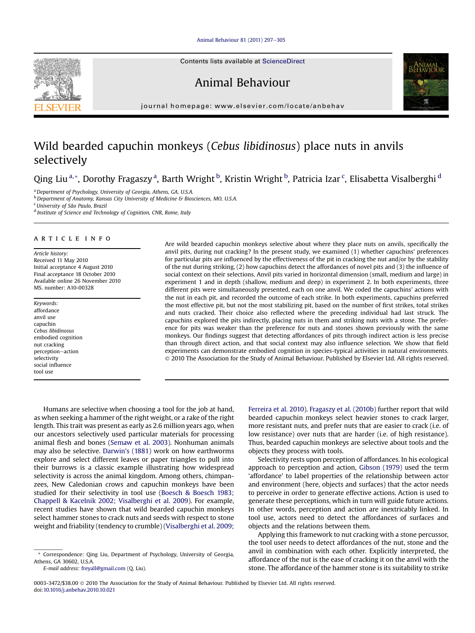#### [Animal Behaviour 81 \(2011\) 297](http://dx.doi.org/10.1016/j.anbehav.2010.10.021)-[305](http://dx.doi.org/10.1016/j.anbehav.2010.10.021)



Contents lists available at ScienceDirect

Animal Behaviour



journal homepage: [www.elsevier.com/locate/anbehav](http://www.elsevier.com/locate/anbehav)

# Wild bearded capuchin monkeys (Cebus libidinosus) place nuts in anvils selectively

Qing Liu <sup>a,</sup>\*, Dorothy Fragaszy <sup>a</sup>, Barth Wright <sup>b</sup>, Kristin Wright <sup>b</sup>, Patricia Izar <sup>c</sup>, Elisabetta Visalberghi <sup>d</sup>

<sup>a</sup> Department of Psychology, University of Georgia, Athens, GA, U.S.A.

 $<sup>b</sup>$  Department of Anatomy, Kansas City University of Medicine & Biosciences, MO, U.S.A.</sup>

<sup>c</sup> University of São Paulo, Brazil

<sup>d</sup> Institute of Science and Technology of Cognition, CNR, Rome, Italy

## article info

Article history: Received 11 May 2010 Initial acceptance 4 August 2010 Final acceptance 18 October 2010 Available online 26 November 2010 MS. number: A10-00328

Keywords: affordance anvil use capuchin Cebus libidinosus embodied cognition nut cracking perception-action selectivity social influence tool use

Are wild bearded capuchin monkeys selective about where they place nuts on anvils, specifically the anvil pits, during nut cracking? In the present study, we examined (1) whether capuchins' preferences for particular pits are influenced by the effectiveness of the pit in cracking the nut and/or by the stability of the nut during striking, (2) how capuchins detect the affordances of novel pits and (3) the influence of social context on their selections. Anvil pits varied in horizontal dimension (small, medium and large) in experiment 1 and in depth (shallow, medium and deep) in experiment 2. In both experiments, three different pits were simultaneously presented, each on one anvil. We coded the capuchins' actions with the nut in each pit, and recorded the outcome of each strike. In both experiments, capuchins preferred the most effective pit, but not the most stabilizing pit, based on the number of first strikes, total strikes and nuts cracked. Their choice also reflected where the preceding individual had last struck. The capuchins explored the pits indirectly, placing nuts in them and striking nuts with a stone. The preference for pits was weaker than the preference for nuts and stones shown previously with the same monkeys. Our findings suggest that detecting affordances of pits through indirect action is less precise than through direct action, and that social context may also influence selection. We show that field experiments can demonstrate embodied cognition in species-typical activities in natural environments. 2010 The Association for the Study of Animal Behaviour. Published by Elsevier Ltd. All rights reserved.

Humans are selective when choosing a tool for the job at hand, as when seeking a hammer of the right weight, or a rake of the right length. This trait was present as early as 2.6 million years ago, when our ancestors selectively used particular materials for processing animal flesh and bones ([Semaw et al. 2003\)](#page-8-0). Nonhuman animals may also be selective. Darwin'[s \(1881\)](#page-8-0) work on how earthworms explore and select different leaves or paper triangles to pull into their burrows is a classic example illustrating how widespread selectivity is across the animal kingdom. Among others, chimpanzees, New Caledonian crows and capuchin monkeys have been studied for their selectivity in tool use [\(Boesch & Boesch 1983;](#page-8-0) [Chappell & Kacelnik 2002; Visalberghi et al. 2009](#page-8-0)). For example, recent studies have shown that wild bearded capuchin monkeys select hammer stones to crack nuts and seeds with respect to stone weight and friability (tendency to crumble) [\(Visalberghi et al. 2009;](#page-8-0)

E-mail address: [freyall@gmail.com](mailto:freyall@gmail.com) (Q. Liu).

[Ferreira et al. 2010](#page-8-0)). [Fragaszy et al. \(2010b\)](#page-8-0) further report that wild bearded capuchin monkeys select heavier stones to crack larger, more resistant nuts, and prefer nuts that are easier to crack (i.e. of low resistance) over nuts that are harder (i.e. of high resistance). Thus, bearded capuchin monkeys are selective about tools and the objects they process with tools.

Selectivity rests upon perception of affordances. In his ecological approach to perception and action, [Gibson \(1979\)](#page-8-0) used the term 'affordance' to label properties of the relationship between actor and environment (here, objects and surfaces) that the actor needs to perceive in order to generate effective actions. Action is used to generate these perceptions, which in turn will guide future actions. In other words, perception and action are inextricably linked. In tool use, actors need to detect the affordances of surfaces and objects and the relations between them.

Applying this framework to nut cracking with a stone percussor, the tool user needs to detect affordances of the nut, stone and the anvil in combination with each other. Explicitly interpreted, the affordance of the nut is the ease of cracking it on the anvil with the stone. The affordance of the hammer stone is its suitability to strike

Correspondence: Qing Liu, Department of Psychology, University of Georgia, Athens, GA 30602, U.S.A.

<sup>0003-3472/\$38.00</sup> 2010 The Association for the Study of Animal Behaviour. Published by Elsevier Ltd. All rights reserved. doi[:10.1016/j.anbehav.2010.10.021](http://dx.doi.org/10.1016/j.anbehav.2010.10.021)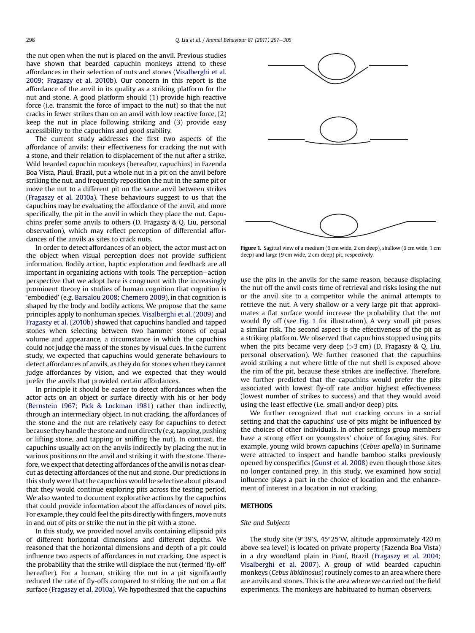the nut open when the nut is placed on the anvil. Previous studies have shown that bearded capuchin monkeys attend to these affordances in their selection of nuts and stones ([Visalberghi et al.](#page-8-0) [2009; Fragaszy et al. 2010b](#page-8-0)). Our concern in this report is the affordance of the anvil in its quality as a striking platform for the nut and stone. A good platform should (1) provide high reactive force (i.e. transmit the force of impact to the nut) so that the nut cracks in fewer strikes than on an anvil with low reactive force, (2) keep the nut in place following striking and (3) provide easy accessibility to the capuchins and good stability.

The current study addresses the first two aspects of the affordance of anvils: their effectiveness for cracking the nut with a stone, and their relation to displacement of the nut after a strike. Wild bearded capuchin monkeys (hereafter, capuchins) in Fazenda Boa Vista, Piauí, Brazil, put a whole nut in a pit on the anvil before striking the nut, and frequently reposition the nut in the same pit or move the nut to a different pit on the same anvil between strikes ([Fragaszy et al. 2010a](#page-8-0)). These behaviours suggest to us that the capuchins may be evaluating the affordance of the anvil, and more specifically, the pit in the anvil in which they place the nut. Capuchins prefer some anvils to others (D. Fragaszy & Q. Liu, personal observation), which may reflect perception of differential affordances of the anvils as sites to crack nuts.

In order to detect affordances of an object, the actor must act on the object when visual perception does not provide sufficient information. Bodily action, haptic exploration and feedback are all important in organizing actions with tools. The perception-action perspective that we adopt here is congruent with the increasingly prominent theory in studies of human cognition that cognition is 'embodied' (e.g. [Barsalou 2008; Chemero 2009](#page-8-0)), in that cognition is shaped by the body and bodily actions. We propose that the same principles apply to nonhuman species. [Visalberghi et al. \(2009\)](#page-8-0) and [Fragaszy et al. \(2010b\)](#page-8-0) showed that capuchins handled and tapped stones when selecting between two hammer stones of equal volume and appearance, a circumstance in which the capuchins could not judge the mass of the stones by visual cues. In the current study, we expected that capuchins would generate behaviours to detect affordances of anvils, as they do for stones when they cannot judge affordances by vision, and we expected that they would prefer the anvils that provided certain affordances.

In principle it should be easier to detect affordances when the actor acts on an object or surface directly with his or her body ([Bernstein 1967; Pick & Lockman 1981](#page-8-0)) rather than indirectly, through an intermediary object. In nut cracking, the affordances of the stone and the nut are relatively easy for capuchins to detect because they handle the stone and nut directly (e.g. tapping, pushing or lifting stone, and tapping or sniffing the nut). In contrast, the capuchins usually act on the anvils indirectly by placing the nut in various positions on the anvil and striking it with the stone. Therefore, we expect that detecting affordances of the anvil is not as clearcut as detecting affordances of the nut and stone. Our predictions in this study were that the capuchins would be selective about pits and that they would continue exploring pits across the testing period. We also wanted to document explorative actions by the capuchins that could provide information about the affordances of novel pits. For example, they could feel the pits directly with fingers, move nuts in and out of pits or strike the nut in the pit with a stone.

In this study, we provided novel anvils containing ellipsoid pits of different horizontal dimensions and different depths. We reasoned that the horizontal dimensions and depth of a pit could influence two aspects of affordances in nut cracking. One aspect is the probability that the strike will displace the nut (termed 'fly-off' hereafter). For a human, striking the nut in a pit significantly reduced the rate of fly-offs compared to striking the nut on a flat surface ([Fragaszy et al. 2010a\)](#page-8-0). We hypothesized that the capuchins



Figure 1. Sagittal view of a medium (6 cm wide, 2 cm deep), shallow (6 cm wide, 1 cm deep) and large (9 cm wide, 2 cm deep) pit, respectively.

use the pits in the anvils for the same reason, because displacing the nut off the anvil costs time of retrieval and risks losing the nut or the anvil site to a competitor while the animal attempts to retrieve the nut. A very shallow or a very large pit that approximates a flat surface would increase the probability that the nut would fly off (see Fig. 1 for illustration). A very small pit poses a similar risk. The second aspect is the effectiveness of the pit as a striking platform. We observed that capuchins stopped using pits when the pits became very deep  $(>3$  cm) (D. Fragaszy & Q. Liu, personal observation). We further reasoned that the capuchins avoid striking a nut where little of the nut shell is exposed above the rim of the pit, because these strikes are ineffective. Therefore, we further predicted that the capuchins would prefer the pits associated with lowest fly-off rate and/or highest effectiveness (lowest number of strikes to success) and that they would avoid using the least effective (i.e. small and/or deep) pits.

We further recognized that nut cracking occurs in a social setting and that the capuchins' use of pits might be influenced by the choices of other individuals. In other settings group members have a strong effect on youngsters' choice of foraging sites. For example, young wild brown capuchins (Cebus apella) in Suriname were attracted to inspect and handle bamboo stalks previously opened by conspecifics [\(Gunst et al. 2008](#page-8-0)) even though those sites no longer contained prey. In this study, we examined how social influence plays a part in the choice of location and the enhancement of interest in a location in nut cracking.

## **METHODS**

### Site and Subjects

The study site (9°39′S, 45°25′W, altitude approximately 420 m above sea level) is located on private property (Fazenda Boa Vista) in a dry woodland plain in Piauí, Brazil ([Fragaszy et al. 2004;](#page-8-0) [Visalberghi et al. 2007\)](#page-8-0). A group of wild bearded capuchin monkeys (Cebus libidinosus) routinely comes to an area where there are anvils and stones. This is the area where we carried out the field experiments. The monkeys are habituated to human observers.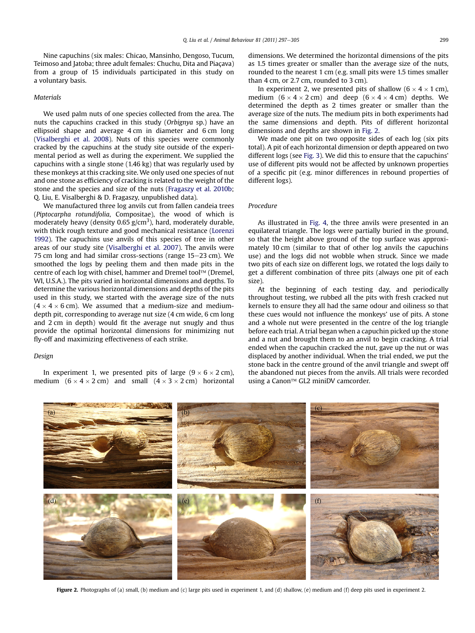Nine capuchins (six males: Chicao, Mansinho, Dengoso, Tucum, Teimoso and Jatoba; three adult females: Chuchu, Dita and Piaçava) from a group of 15 individuals participated in this study on a voluntary basis.

## Materials

We used palm nuts of one species collected from the area. The nuts the capuchins cracked in this study (Orbignya sp.) have an ellipsoid shape and average 4 cm in diameter and 6 cm long ([Visalberghi et al. 2008\)](#page-8-0). Nuts of this species were commonly cracked by the capuchins at the study site outside of the experimental period as well as during the experiment. We supplied the capuchins with a single stone (1.46 kg) that was regularly used by these monkeys at this cracking site. We only used one species of nut and one stone as efficiency of cracking is related to the weight of the stone and the species and size of the nuts ([Fragaszy et al. 2010b;](#page-8-0) Q. Liu, E. Visalberghi & D. Fragaszy, unpublished data).

We manufactured three log anvils cut from fallen candeia trees (Piptocarpha rotundifolia, Compositae), the wood of which is moderately heavy (density 0.65 g/cm $^3$ ), hard, moderately durable, with thick rough texture and good mechanical resistance ([Lorenzi](#page-8-0) [1992\)](#page-8-0). The capuchins use anvils of this species of tree in other areas of our study site [\(Visalberghi et al. 2007\)](#page-8-0). The anvils were 75 cm long and had similar cross-sections (range  $15-23$  cm). We smoothed the logs by peeling them and then made pits in the centre of each log with chisel, hammer and Dremel tool™ (Dremel, WI, U.S.A.). The pits varied in horizontal dimensions and depths. To determine the various horizontal dimensions and depths of the pits used in this study, we started with the average size of the nuts  $(4 \times 4 \times 6$  cm). We assumed that a medium-size and mediumdepth pit, corresponding to average nut size (4 cm wide, 6 cm long and 2 cm in depth) would fit the average nut snugly and thus provide the optimal horizontal dimensions for minimizing nut fly-off and maximizing effectiveness of each strike.

#### Design

In experiment 1, we presented pits of large  $(9 \times 6 \times 2 \text{ cm})$ , medium  $(6 \times 4 \times 2 \text{ cm})$  and small  $(4 \times 3 \times 2 \text{ cm})$  horizontal dimensions. We determined the horizontal dimensions of the pits as 1.5 times greater or smaller than the average size of the nuts, rounded to the nearest 1 cm (e.g. small pits were 1.5 times smaller than 4 cm, or 2.7 cm, rounded to 3 cm).

In experiment 2, we presented pits of shallow ( $6 \times 4 \times 1$  cm), medium  $(6 \times 4 \times 2 \text{ cm})$  and deep  $(6 \times 4 \times 4 \text{ cm})$  depths. We determined the depth as 2 times greater or smaller than the average size of the nuts. The medium pits in both experiments had the same dimensions and depth. Pits of different horizontal dimensions and depths are shown in Fig. 2.

We made one pit on two opposite sides of each log (six pits total). A pit of each horizontal dimension or depth appeared on two different logs (see [Fig. 3\)](#page-3-0). We did this to ensure that the capuchins' use of different pits would not be affected by unknown properties of a specific pit (e.g. minor differences in rebound properties of different logs).

## Procedure

As illustrated in [Fig. 4,](#page-3-0) the three anvils were presented in an equilateral triangle. The logs were partially buried in the ground, so that the height above ground of the top surface was approximately 10 cm (similar to that of other log anvils the capuchins use) and the logs did not wobble when struck. Since we made two pits of each size on different logs, we rotated the logs daily to get a different combination of three pits (always one pit of each size).

At the beginning of each testing day, and periodically throughout testing, we rubbed all the pits with fresh cracked nut kernels to ensure they all had the same odour and oiliness so that these cues would not influence the monkeys' use of pits. A stone and a whole nut were presented in the centre of the log triangle before each trial. A trial began when a capuchin picked up the stone and a nut and brought them to an anvil to begin cracking. A trial ended when the capuchin cracked the nut, gave up the nut or was displaced by another individual. When the trial ended, we put the stone back in the centre ground of the anvil triangle and swept off the abandoned nut pieces from the anvils. All trials were recorded using a Canon<sup>™</sup> GL2 miniDV camcorder.



Figure 2. Photographs of (a) small, (b) medium and (c) large pits used in experiment 1, and (d) shallow, (e) medium and (f) deep pits used in experiment 2.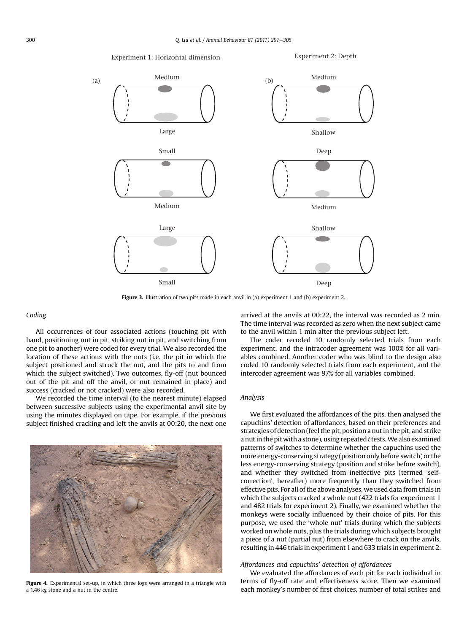# Experiment 1: Horizontal dimension Experiment 2: Depth



<span id="page-3-0"></span>

Figure 3. Illustration of two pits made in each anvil in (a) experiment 1 and (b) experiment 2.

# Coding

All occurrences of four associated actions (touching pit with hand, positioning nut in pit, striking nut in pit, and switching from one pit to another) were coded for every trial. We also recorded the location of these actions with the nuts (i.e. the pit in which the subject positioned and struck the nut, and the pits to and from which the subject switched). Two outcomes, fly-off (nut bounced out of the pit and off the anvil, or nut remained in place) and success (cracked or not cracked) were also recorded.

We recorded the time interval (to the nearest minute) elapsed between successive subjects using the experimental anvil site by using the minutes displayed on tape. For example, if the previous subject finished cracking and left the anvils at 00:20, the next one



Figure 4. Experimental set-up, in which three logs were arranged in a triangle with a 1.46 kg stone and a nut in the centre.

arrived at the anvils at 00:22, the interval was recorded as 2 min. The time interval was recorded as zero when the next subject came to the anvil within 1 min after the previous subject left.

The coder recoded 10 randomly selected trials from each experiment, and the intracoder agreement was 100% for all variables combined. Another coder who was blind to the design also coded 10 randomly selected trials from each experiment, and the intercoder agreement was 97% for all variables combined.

## Analysis

We first evaluated the affordances of the pits, then analysed the capuchins' detection of affordances, based on their preferences and strategies of detection (feel the pit, position a nut in the pit, and strike a nut in the pit with a stone), using repeated  $t$  tests. We also examined patterns of switches to determine whether the capuchins used the more energy-conserving strategy (position only before switch) or the less energy-conserving strategy (position and strike before switch), and whether they switched from ineffective pits (termed 'selfcorrection', hereafter) more frequently than they switched from effective pits. For all of the above analyses, we used data from trials in which the subjects cracked a whole nut (422 trials for experiment 1 and 482 trials for experiment 2). Finally, we examined whether the monkeys were socially influenced by their choice of pits. For this purpose, we used the 'whole nut' trials during which the subjects worked on whole nuts, plus the trials during which subjects brought a piece of a nut (partial nut) from elsewhere to crack on the anvils, resulting in 446 trials in experiment 1 and 633 trials in experiment 2.

#### Affordances and capuchins' detection of affordances

We evaluated the affordances of each pit for each individual in terms of fly-off rate and effectiveness score. Then we examined each monkey's number of first choices, number of total strikes and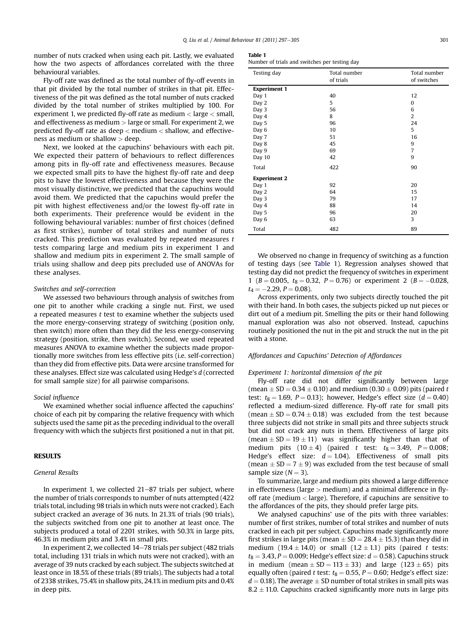number of nuts cracked when using each pit. Lastly, we evaluated how the two aspects of affordances correlated with the three behavioural variables.

Fly-off rate was defined as the total number of fly-off events in that pit divided by the total number of strikes in that pit. Effectiveness of the pit was defined as the total number of nuts cracked divided by the total number of strikes multiplied by 100. For experiment 1, we predicted fly-off rate as medium < large < small, and effectiveness as medium  $>$  large or small. For experiment 2, we predicted fly-off rate as deep < medium < shallow, and effectiveness as medium or shallow > deep.

Next, we looked at the capuchins' behaviours with each pit. We expected their pattern of behaviours to reflect differences among pits in fly-off rate and effectiveness measures. Because we expected small pits to have the highest fly-off rate and deep pits to have the lowest effectiveness and because they were the most visually distinctive, we predicted that the capuchins would avoid them. We predicted that the capuchins would prefer the pit with highest effectiveness and/or the lowest fly-off rate in both experiments. Their preference would be evident in the following behavioural variables: number of first choices (defined as first strikes), number of total strikes and number of nuts cracked. This prediction was evaluated by repeated measures t tests comparing large and medium pits in experiment 1 and shallow and medium pits in experiment 2. The small sample of trials using shallow and deep pits precluded use of ANOVAs for these analyses.

## Switches and self-correction

We assessed two behaviours through analysis of switches from one pit to another while cracking a single nut. First, we used a repeated measures t test to examine whether the subjects used the more energy-conserving strategy of switching (position only, then switch) more often than they did the less energy-conserving strategy (position, strike, then switch). Second, we used repeated measures ANOVA to examine whether the subjects made proportionally more switches from less effective pits (i.e. self-correction) than they did from effective pits. Data were arcsine transformed for these analyses. Effect size was calculated using Hedge's d (corrected for small sample size) for all pairwise comparisons.

## Social influence

We examined whether social influence affected the capuchins' choice of each pit by comparing the relative frequency with which subjects used the same pit as the preceding individual to the overall frequency with which the subjects first positioned a nut in that pit.

#### RESULTS

#### General Results

In experiment 1, we collected  $21-87$  trials per subject, where the number of trials corresponds to number of nuts attempted (422 trials total, including 98 trials in which nuts were not cracked). Each subject cracked an average of 36 nuts. In 21.3% of trials (90 trials), the subjects switched from one pit to another at least once. The subjects produced a total of 2201 strikes, with 50.3% in large pits, 46.3% in medium pits and 3.4% in small pits.

In experiment 2, we collected  $14-78$  trials per subject (482 trials total, including 131 trials in which nuts were not cracked), with an average of 39 nuts cracked by each subject. The subjects switched at least once in 18.5% of these trials (89 trials). The subjects had a total of 2338 strikes, 75.4% in shallow pits, 24.1% in medium pits and 0.4% in deep pits.

#### Table 1

Number of trials and switches per testing day

| Testing day         | Total number<br>of trials | Total number<br>of switches |  |  |
|---------------------|---------------------------|-----------------------------|--|--|
| <b>Experiment 1</b> |                           |                             |  |  |
| Day 1               | 40                        | 12                          |  |  |
| Day 2               | 5                         | 0                           |  |  |
| Day 3               | 56                        | 6                           |  |  |
| Day 4               | 8                         | $\overline{2}$              |  |  |
| Day 5               | 96                        | 24                          |  |  |
| Day 6               | 10                        | 5                           |  |  |
| Day 7               | 51                        | 16                          |  |  |
| Day 8               | 45                        | 9                           |  |  |
| Day 9               | 69                        | $\overline{7}$              |  |  |
| Day 10              | 42                        | 9                           |  |  |
| Total               | 422                       | 90                          |  |  |
| <b>Experiment 2</b> |                           |                             |  |  |
| Day 1               | 92                        | 20                          |  |  |
| Day 2               | 64                        | 15                          |  |  |
| Day 3               | 79                        | 17                          |  |  |
| Day 4               | 88                        | 14                          |  |  |
| Day 5               | 96                        | 20                          |  |  |
| Day 6               | 63                        | 3                           |  |  |
| Total               | 482                       | 89                          |  |  |

We observed no change in frequency of switching as a function of testing days (see Table 1). Regression analyses showed that testing day did not predict the frequency of switches in experiment 1 ( $B = 0.005$ ,  $t_8 = 0.32$ ,  $P = 0.76$ ) or experiment 2 ( $B = -0.028$ ).  $t_4 = -2.29$ ,  $P = 0.08$ ).

Across experiments, only two subjects directly touched the pit with their hand. In both cases, the subjects picked up nut pieces or dirt out of a medium pit. Smelling the pits or their hand following manual exploration was also not observed. Instead, capuchins routinely positioned the nut in the pit and struck the nut in the pit with a stone.

#### Affordances and Capuchins' Detection of Affordances

#### Experiment 1: horizontal dimension of the pit

Fly-off rate did not differ significantly between large (mean  $\pm$  SD = 0.34  $\pm$  0.10) and medium (0.30  $\pm$  0.09) pits (paired t test:  $t_8 = 1.69$ ,  $P = 0.13$ ); however, Hedge's effect size ( $d = 0.40$ ) reflected a medium-sized difference. Fly-off rate for small pits (mean  $\pm$  SD = 0.74  $\pm$  0.18) was excluded from the test because three subjects did not strike in small pits and three subjects struck but did not crack any nuts in them. Effectiveness of large pits (mean  $\pm$  SD = 19  $\pm$  11) was significantly higher than that of medium pits  $(10 \pm 4)$  (paired t test:  $t_8 = 3.49$ ,  $P = 0.008$ ; Hedge's effect size:  $d = 1.04$ ). Effectiveness of small pits (mean  $\pm$  SD = 7  $\pm$  9) was excluded from the test because of small sample size  $(N = 3)$ .

To summarize, large and medium pits showed a large difference in effectiveness (large  $>$  medium) and a minimal difference in flyoff rate (medium < large). Therefore, if capuchins are sensitive to the affordances of the pits, they should prefer large pits.

We analysed capuchins' use of the pits with three variables: number of first strikes, number of total strikes and number of nuts cracked in each pit per subject. Capuchins made significantly more first strikes in large pits (mean  $\pm$  SD = 28.4  $\pm$  15.3) than they did in medium (19.4  $\pm$  14.0) or small (1.2  $\pm$  1.1) pits (paired t tests:  $t_8 = 3.43$ ,  $P = 0.009$ ; Hedge's effect size:  $d = 0.58$ ). Capuchins struck in medium (mean  $\pm$  SD = 113  $\pm$  33) and large (123  $\pm$  65) pits equally often (paired t test:  $t_8 = 0.55$ ,  $P = 0.60$ ; Hedge's effect size:  $d = 0.18$ ). The average  $\pm$  SD number of total strikes in small pits was  $8.2 \pm 11.0$ . Capuchins cracked significantly more nuts in large pits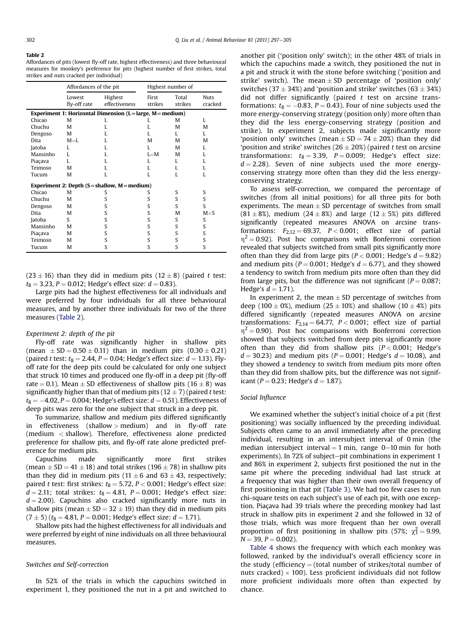#### Table 2

Affordances of pits (lowest fly-off rate, highest effectiveness) and three behavioural measures for monkey's preference for pits (highest number of first strikes, total strikes and nuts cracked per individual)

|                                                 | Affordances of the pit |                          | Highest number of                                      |                  |                        |  |  |  |
|-------------------------------------------------|------------------------|--------------------------|--------------------------------------------------------|------------------|------------------------|--|--|--|
|                                                 | Lowest<br>fly-off rate | Highest<br>effectiveness | First<br>strikes                                       | Total<br>strikes | <b>Nuts</b><br>cracked |  |  |  |
|                                                 |                        |                          | Experiment 1: Horizontal Dimension (L=large, M=medium) |                  |                        |  |  |  |
| Chicao                                          | М                      | L                        |                                                        | M                | L                      |  |  |  |
| Chuchu                                          | М                      | L                        |                                                        | М                | м                      |  |  |  |
| Dengoso                                         | м                      |                          | L                                                      | L                | L                      |  |  |  |
| Dita                                            | $M=I$ .                |                          | M                                                      | M                | м                      |  |  |  |
| Jatoba                                          | L                      |                          | L                                                      | М                | L                      |  |  |  |
| Mansinho                                        |                        |                          | $L=M$                                                  | M                | L                      |  |  |  |
| Piaçava                                         | L                      |                          | L                                                      | L                | L                      |  |  |  |
| Teimoso                                         | М                      |                          | L                                                      | L                | L                      |  |  |  |
| Tucum                                           | М                      |                          | L                                                      | L                | L                      |  |  |  |
| Experiment 2: Depth $(S = shallow, M = medium)$ |                        |                          |                                                        |                  |                        |  |  |  |
| Chicao                                          | М                      | S                        | S                                                      | S                | S                      |  |  |  |
| Chuchu                                          | м                      | S                        | S                                                      | S                | S                      |  |  |  |
| Dengoso                                         | м                      | S                        | S                                                      | S                | S                      |  |  |  |
| <b>Dita</b>                                     | м                      | S                        | S                                                      | M                | $M = S$                |  |  |  |
| Jatoba                                          | S                      | S                        | S                                                      | S                | S                      |  |  |  |
| Mansinho                                        | м                      | S                        | S                                                      | S                | S                      |  |  |  |
| Piaçava                                         | M                      | S                        | S                                                      | S                | S                      |  |  |  |
| Teimoso                                         | м                      | S                        | S                                                      | S                | S                      |  |  |  |
| Tucum                                           | м                      | S                        | S                                                      | S                | S                      |  |  |  |

 $(23 \pm 16)$  than they did in medium pits  $(12 \pm 8)$  (paired t test:  $t_8 = 3.23$ ,  $P = 0.012$ ; Hedge's effect size:  $d = 0.83$ ).

Large pits had the highest effectiveness for all individuals and were preferred by four individuals for all three behavioural measures, and by another three individuals for two of the three measures (Table 2).

### Experiment 2: depth of the pit

Fly-off rate was significantly higher in shallow pits (mean  $\pm$  SD = 0.50  $\pm$  0.11) than in medium pits (0.30  $\pm$  0.21) (paired t test:  $t_8 = 2.44$ ,  $P = 0.04$ ; Hedge's effect size:  $d = 1.13$ ). Flyoff rate for the deep pits could be calculated for only one subject that struck 10 times and produced one fly-off in a deep pit (fly-off rate  $= 0.1$ ). Mean  $\pm$  SD effectiveness of shallow pits (16  $\pm$  8) was significantly higher than that of medium pits  $(12 \pm 7)$  (paired t test:  $t_8 = -4.02$ ,  $P = 0.004$ ; Hedge's effect size:  $d = 0.51$ ). Effectiveness of deep pits was zero for the one subject that struck in a deep pit.

To summarize, shallow and medium pits differed significantly in effectiveness (shallow  $>$  medium) and in fly-off rate (medium < shallow). Therefore, effectiveness alone predicted preference for shallow pits, and fly-off rate alone predicted preference for medium pits.

Capuchins made significantly more first strikes (mean  $\pm$  SD = 41  $\pm$  18) and total strikes (196  $\pm$  78) in shallow pits than they did in medium pits (11  $\pm$  6 and 63  $\pm$  43, respectively; paired t test: first strikes:  $t_8 = 5.72$ ,  $P < 0.001$ ; Hedge's effect size:  $d = 2.11$ ; total strikes:  $t_8 = 4.81$ ,  $P = 0.001$ ; Hedge's effect size:  $d = 2.00$ ). Capuchins also cracked significantly more nuts in shallow pits (mean  $\pm$  SD = 32  $\pm$  19) than they did in medium pits  $(7 \pm 5)$  ( $t_8 = 4.81$ ,  $P = 0.001$ ; Hedge's effect size:  $d = 1.71$ ).

Shallow pits had the highest effectiveness for all individuals and were preferred by eight of nine individuals on all three behavioural measures.

#### Switches and Self-correction

In 52% of the trials in which the capuchins switched in experiment 1, they positioned the nut in a pit and switched to another pit ('position only' switch); in the other 48% of trials in which the capuchins made a switch, they positioned the nut in a pit and struck it with the stone before switching ('position and strike' switch). The mean  $\pm$  SD percentage of 'position only' switches (37  $\pm$  34%) and 'position and strike' switches (63  $\pm$  34%) did not differ significantly (paired  $t$  test on arcsine transformations:  $t_8 = -0.83$ ,  $P = 0.43$ ). Four of nine subjects used the more energy-conserving strategy (position only) more often than they did the less energy-conserving strategy (position and strike). In experiment 2, subjects made significantly more 'position only' switches (mean  $\pm$  SD = 74  $\pm$  20%) than they did 'position and strike' switches  $(26 \pm 20\%)$  (paired t test on arcsine transformations:  $t_8 = 3.39$ ,  $P = 0.009$ ; Hedge's effect size:  $d = 2.28$ ). Seven of nine subjects used the more energyconserving strategy more often than they did the less energyconserving strategy.

To assess self-correction, we compared the percentage of switches (from all initial positions) for all three pits for both experiments. The mean  $\pm$  SD percentage of switches from small  $(81 \pm 8\%)$ , medium  $(24 \pm 8\%)$  and large  $(12 \pm 5\%)$  pits differed significantly (repeated measures ANOVA on arcsine transformations:  $F_{2,12} = 69.37$ ,  $P < 0.001$ ; effect size of partial  $\eta^2$  = 0.92). Post hoc comparisons with Bonferroni correction revealed that subjects switched from small pits significantly more often than they did from large pits ( $P < 0.001$ ; Hedge's  $d = 9.82$ ) and medium pits ( $P = 0.001$ ; Hedge's  $d = 6.77$ ), and they showed a tendency to switch from medium pits more often than they did from large pits, but the difference was not significant ( $P = 0.087$ ; Hedge's  $d = 1.71$ ).

In experiment 2, the mean  $\pm$  SD percentage of switches from deep (100  $\pm$  0%), medium (25  $\pm$  10%) and shallow (10  $\pm$  4%) pits differed significantly (repeated measures ANOVA on arcsine transformations:  $F_{2,14} = 64.77$ ,  $P < 0.001$ ; effect size of partial  $\eta^2$  = 0.90). Post hoc comparisons with Bonferroni correction showed that subjects switched from deep pits significantly more often than they did from shallow pits  $(P < 0.001$ ; Hedge's  $d = 30.23$ ) and medium pits (P = 0.001; Hedge's  $d = 10.08$ ), and they showed a tendency to switch from medium pits more often than they did from shallow pits, but the difference was not significant ( $P = 0.23$ ; Hedge's  $d = 1.87$ ).

#### Social Influence

We examined whether the subject's initial choice of a pit (first positioning) was socially influenced by the preceding individual. Subjects often came to an anvil immediately after the preceding individual, resulting in an intersubject interval of 0 min (the median intersubject interval = 1 min, range  $0-10$  min for both experiments). In 72% of subject-pit combinations in experiment 1 and 86% in experiment 2, subjects first positioned the nut in the same pit where the preceding individual had last struck at a frequency that was higher than their own overall frequency of first positioning in that pit ([Table 3](#page-6-0)). We had too few cases to run chi-square tests on each subject's use of each pit, with one exception. Piaçava had 39 trials where the preceding monkey had last struck in shallow pits in experiment 2 and she followed in 32 of those trials, which was more frequent than her own overall proportion of first positioning in shallow pits (57%;  $\chi_1^2 = 9.99$ ,  $N = 39$ ,  $P = 0.002$ ).

[Table 4](#page-6-0) shows the frequency with which each monkey was followed, ranked by the individual's overall efficiency score in the study (efficiency  $=$  (total number of strikes/total number of nuts cracked)  $\times$  100). Less proficient individuals did not follow more proficient individuals more often than expected by chance.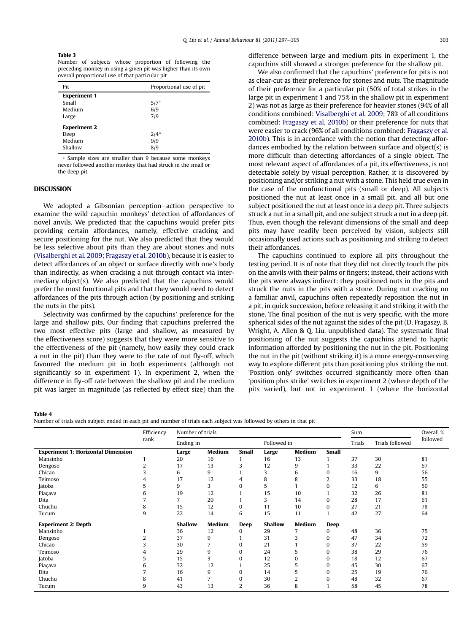#### <span id="page-6-0"></span>Table 3

Number of subjects whose proportion of following the preceding monkey in using a given pit was higher than its own overall proportional use of that particular pit

| Pit                 | Proportional use of pit |  |  |
|---------------------|-------------------------|--|--|
| <b>Experiment 1</b> |                         |  |  |
| Small               | $5/7*$                  |  |  |
| Medium              | 6/9                     |  |  |
| Large               | 7/9                     |  |  |
| <b>Experiment 2</b> |                         |  |  |
| Deep                | $2/4*$                  |  |  |
| Medium              | 9/9                     |  |  |
| Shallow             | 8/9                     |  |  |

\* Sample sizes are smaller than 9 because some monkeys never followed another monkey that had struck in the small or the deep pit.

## **DISCUSSION**

We adopted a Gibsonian perception-action perspective to examine the wild capuchin monkeys' detection of affordances of novel anvils. We predicted that the capuchins would prefer pits providing certain affordances, namely, effective cracking and secure positioning for the nut. We also predicted that they would be less selective about pits than they are about stones and nuts ([Visalberghi et al. 2009; Fragaszy et al. 2010b\)](#page-8-0), because it is easier to detect affordances of an object or surface directly with one's body than indirectly, as when cracking a nut through contact via intermediary object(s). We also predicted that the capuchins would prefer the most functional pits and that they would need to detect affordances of the pits through action (by positioning and striking the nuts in the pits).

Selectivity was confirmed by the capuchins' preference for the large and shallow pits. Our finding that capuchins preferred the two most effective pits (large and shallow, as measured by the effectiveness score) suggests that they were more sensitive to the effectiveness of the pit (namely, how easily they could crack a nut in the pit) than they were to the rate of nut fly-off, which favoured the medium pit in both experiments (although not significantly so in experiment 1). In experiment 2, when the difference in fly-off rate between the shallow pit and the medium pit was larger in magnitude (as reflected by effect size) than the difference between large and medium pits in experiment 1, the capuchins still showed a stronger preference for the shallow pit.

We also confirmed that the capuchins' preference for pits is not as clear-cut as their preference for stones and nuts. The magnitude of their preference for a particular pit (50% of total strikes in the large pit in experiment 1 and 75% in the shallow pit in experiment 2) was not as large as their preference for heavier stones (94% of all conditions combined: [Visalberghi et al. 2009](#page-8-0); 78% of all conditions combined: [Fragaszy et al. 2010b\)](#page-8-0) or their preference for nuts that were easier to crack (96% of all conditions combined: [Fragaszy et al.](#page-8-0) [2010b](#page-8-0)). This is in accordance with the notion that detecting affordances embodied by the relation between surface and object(s) is more difficult than detecting affordances of a single object. The most relevant aspect of affordances of a pit, its effectiveness, is not detectable solely by visual perception. Rather, it is discovered by positioning and/or striking a nut with a stone. This held true even in the case of the nonfunctional pits (small or deep). All subjects positioned the nut at least once in a small pit, and all but one subject positioned the nut at least once in a deep pit. Three subjects struck a nut in a small pit, and one subject struck a nut in a deep pit. Thus, even though the relevant dimensions of the small and deep pits may have readily been perceived by vision, subjects still occasionally used actions such as positioning and striking to detect their affordances.

The capuchins continued to explore all pits throughout the testing period. It is of note that they did not directly touch the pits on the anvils with their palms or fingers; instead, their actions with the pits were always indirect: they positioned nuts in the pits and struck the nuts in the pits with a stone. During nut cracking on a familiar anvil, capuchins often repeatedly reposition the nut in a pit, in quick succession, before releasing it and striking it with the stone. The final position of the nut is very specific, with the more spherical sides of the nut against the sides of the pit (D. Fragaszy, B. Wright, A. Allen & Q. Liu, unpublished data). The systematic final positioning of the nut suggests the capuchins attend to haptic information afforded by positioning the nut in the pit. Positioning the nut in the pit (without striking it) is a more energy-conserving way to explore different pits than positioning plus striking the nut. 'Position only' switches occurred significantly more often than 'position plus strike' switches in experiment 2 (where depth of the pits varied), but not in experiment 1 (where the horizontal

#### Table 4

| Number of trials each subiect ended in each pit and number of trials each subiect was followed by others in that pit |  |  |  |  |
|----------------------------------------------------------------------------------------------------------------------|--|--|--|--|
|----------------------------------------------------------------------------------------------------------------------|--|--|--|--|

|                                           | Efficiency<br>Number of trials |                |        |                | Sum            |          | Overall %       |          |    |    |
|-------------------------------------------|--------------------------------|----------------|--------|----------------|----------------|----------|-----------------|----------|----|----|
|                                           | rank                           | Ending in      |        | Followed in    |                | Trials   | Trials followed | followed |    |    |
| <b>Experiment 1: Horizontal Dimension</b> |                                | Large          | Medium | <b>Small</b>   | Large          | Medium   | <b>Small</b>    |          |    |    |
| Mansinho                                  |                                | 20             | 16     |                | 16             | 13       |                 | 37       | 30 | 81 |
| Dengoso                                   | 2                              | 17             | 13     | 3              | 12             | 9        |                 | 33       | 22 | 67 |
| Chicao                                    | $\overline{ }$<br>3            | 6              | 9      |                | 3              | 6        | $\Omega$        | 16       | 9  | 56 |
| Teimoso                                   | 4                              | 17             | 12     | 4              | 8              | 8        | 2               | 33       | 18 | 55 |
| Jatoba                                    | 5                              | 9              | 3      | $\mathbf{0}$   | 5              |          | $\Omega$        | 12       | 6  | 50 |
| Piaçava                                   | 6                              | 19             | 12     |                | 15             | 10       |                 | 32       | 26 | 81 |
| Dita                                      |                                | 7              | 20     |                | 3              | 14       | 0               | 28       | 17 | 61 |
| Chuchu                                    | 8                              | 15             | 12     | 0              | 11             | 10       | 0               | 27       | 21 | 78 |
| Tucum                                     | 9                              | 22             | 14     | 6              | 15             | 11       |                 | 42       | 27 | 64 |
| <b>Experiment 2: Depth</b>                |                                | <b>Shallow</b> | Medium | Deep           | <b>Shallow</b> | Medium   | Deep            |          |    |    |
| Mansinho                                  |                                | 36             | 12     | 0              | 29             | 7        | 0               | 48       | 36 | 75 |
| Dengoso                                   | $\overline{2}$                 | 37             | 9      |                | 31             | 3        | $\Omega$        | 47       | 34 | 72 |
| Chicao                                    |                                | 30             | 7      | $\Omega$       | 21             |          | $\Omega$        | 37       | 22 | 59 |
| Teimoso                                   | 4                              | 29             | 9      | $\bf{0}$       | 24             | 5        | $\Omega$        | 38       | 29 | 76 |
| Jatoba                                    | 5                              | 15             | 3      | $\mathbf{0}$   | 12             | $\bf{0}$ | 0               | 18       | 12 | 67 |
| Piaçava                                   | 6                              | 32             | 12     |                | 25             | 5        | $\Omega$        | 45       | 30 | 67 |
| Dita                                      |                                | 16             | 9      | 0              | 14             | 5        | $\Omega$        | 25       | 19 | 76 |
| Chuchu                                    | 8                              | 41             |        | 0              | 30             |          |                 | 48       | 32 | 67 |
| Tucum                                     | 9                              | 43             | 13     | $\overline{2}$ | 36             | 8        |                 | 58       | 45 | 78 |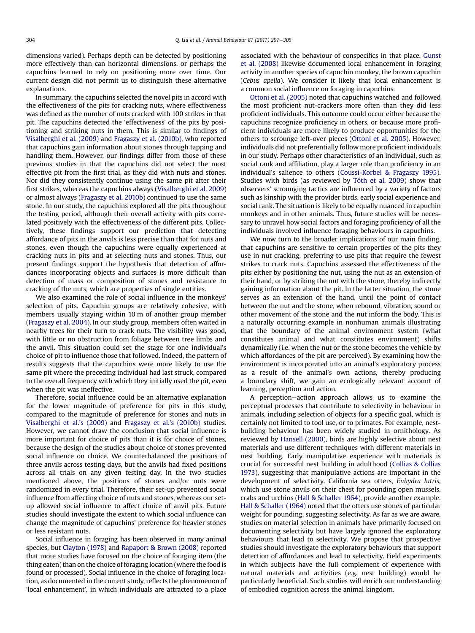dimensions varied). Perhaps depth can be detected by positioning more effectively than can horizontal dimensions, or perhaps the capuchins learned to rely on positioning more over time. Our current design did not permit us to distinguish these alternative explanations.

In summary, the capuchins selected the novel pits in accord with the effectiveness of the pits for cracking nuts, where effectiveness was defined as the number of nuts cracked with 100 strikes in that pit. The capuchins detected the 'effectiveness' of the pits by positioning and striking nuts in them. This is similar to findings of [Visalberghi et al. \(2009\)](#page-8-0) and [Fragaszy et al. \(2010b\),](#page-8-0) who reported that capuchins gain information about stones through tapping and handling them. However, our findings differ from those of these previous studies in that the capuchins did not select the most effective pit from the first trial, as they did with nuts and stones. Nor did they consistently continue using the same pit after their first strikes, whereas the capuchins always [\(Visalberghi et al. 2009\)](#page-8-0) or almost always ([Fragaszy et al. 2010b](#page-8-0)) continued to use the same stone. In our study, the capuchins explored all the pits throughout the testing period, although their overall activity with pits correlated positively with the effectiveness of the different pits. Collectively, these findings support our prediction that detecting affordance of pits in the anvils is less precise than that for nuts and stones, even though the capuchins were equally experienced at cracking nuts in pits and at selecting nuts and stones. Thus, our present findings support the hypothesis that detection of affordances incorporating objects and surfaces is more difficult than detection of mass or composition of stones and resistance to cracking of the nuts, which are properties of single entities.

We also examined the role of social influence in the monkeys' selection of pits. Capuchin groups are relatively cohesive, with members usually staying within 10 m of another group member ([Fragaszy et al. 2004](#page-8-0)). In our study group, members often waited in nearby trees for their turn to crack nuts. The visibility was good, with little or no obstruction from foliage between tree limbs and the anvil. This situation could set the stage for one individual's choice of pit to influence those that followed. Indeed, the pattern of results suggests that the capuchins were more likely to use the same pit where the preceding individual had last struck, compared to the overall frequency with which they initially used the pit, even when the pit was ineffective.

Therefore, social influence could be an alternative explanation for the lower magnitude of preference for pits in this study, compared to the magnitude of preference for stones and nuts in [Visalberghi et al.](#page-8-0)'s (2009) and [Fragaszy et al.](#page-8-0)'s (2010b) studies. However, we cannot draw the conclusion that social influence is more important for choice of pits than it is for choice of stones, because the design of the studies about choice of stones prevented social influence on choice. We counterbalanced the positions of three anvils across testing days, but the anvils had fixed positions across all trials on any given testing day. In the two studies mentioned above, the positions of stones and/or nuts were randomized in every trial. Therefore, their set-up prevented social influence from affecting choice of nuts and stones, whereas our setup allowed social influence to affect choice of anvil pits. Future studies should investigate the extent to which social influence can change the magnitude of capuchins' preference for heavier stones or less resistant nuts.

Social influence in foraging has been observed in many animal species, but [Clayton \(1978\)](#page-8-0) and [Rapaport & Brown \(2008\)](#page-8-0) reported that more studies have focused on the choice of foraging item (the thing eaten) than on the choice of foraging location (where the food is found or processed). Social influence in the choice of foraging location, as documented in the current study, reflects the phenomenon of 'local enhancement', in which individuals are attracted to a place associated with the behaviour of conspecifics in that place. [Gunst](#page-8-0) [et al. \(2008\)](#page-8-0) likewise documented local enhancement in foraging activity in another species of capuchin monkey, the brown capuchin (Cebus apella). We consider it likely that local enhancement is a common social influence on foraging in capuchins.

[Ottoni et al. \(2005\)](#page-8-0) noted that capuchins watched and followed the most proficient nut-crackers more often than they did less proficient individuals. This outcome could occur either because the capuchins recognize proficiency in others, or because more proficient individuals are more likely to produce opportunities for the others to scrounge left-over pieces [\(Ottoni et al. 2005](#page-8-0)). However, individuals did not preferentially follow more proficient individuals in our study. Perhaps other characteristics of an individual, such as social rank and affiliation, play a larger role than proficiency in an individual's salience to others ([Coussi-Korbel & Fragaszy 1995\)](#page-8-0). Studies with birds (as reviewed by [Tóth et al. 2009\)](#page-8-0) show that observers' scrounging tactics are influenced by a variety of factors such as kinship with the provider birds, early social experience and social rank. The situation is likely to be equally nuanced in capuchin monkeys and in other animals. Thus, future studies will be necessary to unravel how social factors and foraging proficiency of all the individuals involved influence foraging behaviours in capuchins.

We now turn to the broader implications of our main finding, that capuchins are sensitive to certain properties of the pits they use in nut cracking, preferring to use pits that require the fewest strikes to crack nuts. Capuchins assessed the effectiveness of the pits either by positioning the nut, using the nut as an extension of their hand, or by striking the nut with the stone, thereby indirectly gaining information about the pit. In the latter situation, the stone serves as an extension of the hand, until the point of contact between the nut and the stone, when rebound, vibration, sound or other movement of the stone and the nut inform the body. This is a naturally occurring example in nonhuman animals illustrating that the boundary of the animal-environment system (what constitutes animal and what constitutes environment) shifts dynamically (i.e. when the nut or the stone becomes the vehicle by which affordances of the pit are perceived). By examining how the environment is incorporated into an animal's exploratory process as a result of the animal's own actions, thereby producing a boundary shift, we gain an ecologically relevant account of learning, perception and action.

A perception-action approach allows us to examine the perceptual processes that contribute to selectivity in behaviour in animals, including selection of objects for a specific goal, which is certainly not limited to tool use, or to primates. For example, nestbuilding behaviour has been widely studied in ornithology. As reviewed by [Hansell \(2000\)](#page-8-0), birds are highly selective about nest materials and use different techniques with different materials in nest building. Early manipulative experience with materials is crucial for successful nest building in adulthood [\(Collias & Collias](#page-8-0) [1973\)](#page-8-0), suggesting that manipulative actions are important in the development of selectivity. California sea otters, Enhydra lutris, which use stone anvils on their chest for pounding open mussels, crabs and urchins [\(Hall & Schaller 1964](#page-8-0)), provide another example. [Hall & Schaller \(1964\)](#page-8-0) noted that the otters use stones of particular weight for pounding, suggesting selectivity. As far as we are aware, studies on material selection in animals have primarily focused on documenting selectivity but have largely ignored the exploratory behaviours that lead to selectivity. We propose that prospective studies should investigate the exploratory behaviours that support detection of affordances and lead to selectivity. Field experiments in which subjects have the full complement of experience with natural materials and activities (e.g. nest building) would be particularly beneficial. Such studies will enrich our understanding of embodied cognition across the animal kingdom.